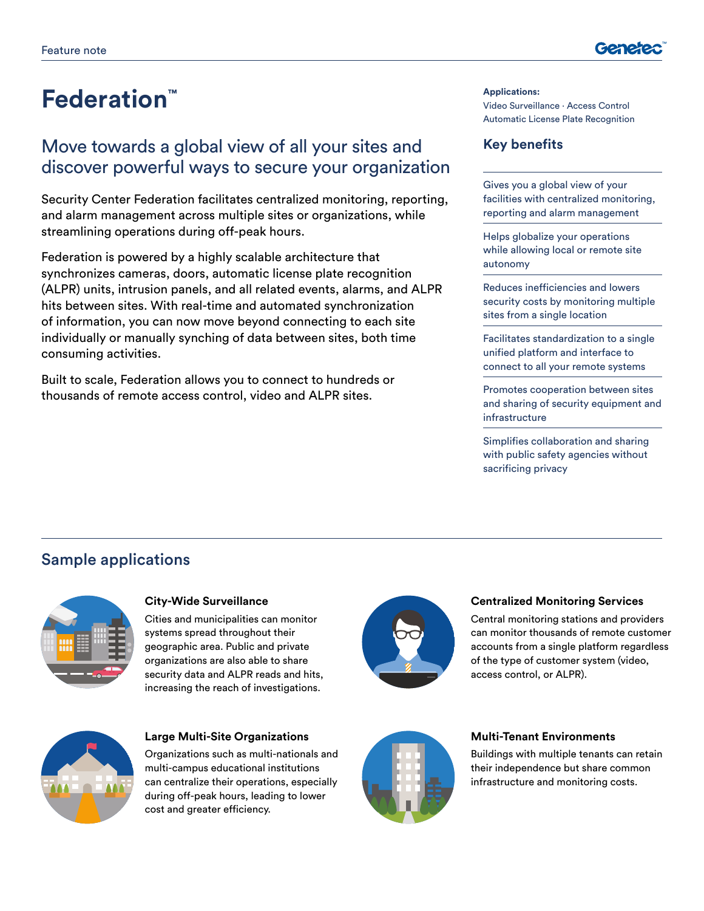

# **Federation™** Applications:

# Move towards a global view of all your sites and discover powerful ways to secure your organization

Security Center Federation facilitates centralized monitoring, reporting, and alarm management across multiple sites or organizations, while streamlining operations during off-peak hours.

Federation is powered by a highly scalable architecture that synchronizes cameras, doors, automatic license plate recognition (ALPR) units, intrusion panels, and all related events, alarms, and ALPR hits between sites. With real-time and automated synchronization of information, you can now move beyond connecting to each site individually or manually synching of data between sites, both time consuming activities.

Built to scale, Federation allows you to connect to hundreds or thousands of remote access control, video and ALPR sites.

### Video Surveillance ∙ Access Control Automatic License Plate Recognition

### **Key benefits**

Gives you a global view of your facilities with centralized monitoring, reporting and alarm management

Helps globalize your operations while allowing local or remote site autonomy

Reduces inefficiencies and lowers security costs by monitoring multiple sites from a single location

Facilitates standardization to a single unified platform and interface to connect to all your remote systems

Promotes cooperation between sites and sharing of security equipment and infrastructure

Simplifies collaboration and sharing with public safety agencies without sacrificing privacy

## Sample applications



#### **City-Wide Surveillance**

Cities and municipalities can monitor systems spread throughout their geographic area. Public and private organizations are also able to share security data and ALPR reads and hits, increasing the reach of investigations.



#### **Large Multi-Site Organizations**

Organizations such as multi-nationals and multi-campus educational institutions can centralize their operations, especially during off-peak hours, leading to lower cost and greater efficiency.



#### **Centralized Monitoring Services**

Central monitoring stations and providers can monitor thousands of remote customer accounts from a single platform regardless of the type of customer system (video, access control, or ALPR).



#### **Multi-Tenant Environments**

Buildings with multiple tenants can retain their independence but share common infrastructure and monitoring costs.